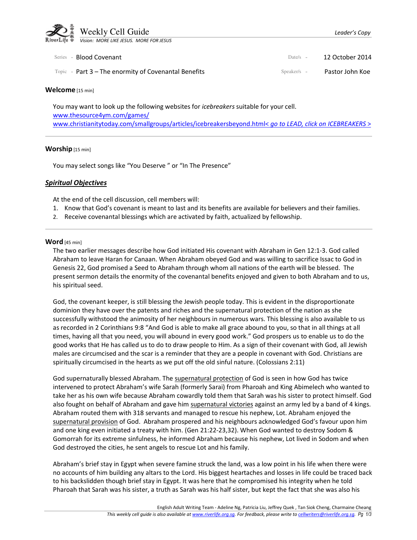

| Series - <b>Blood Covenant</b>                                | Date/s $-$    | - 12 October 2014 |
|---------------------------------------------------------------|---------------|-------------------|
| $\text{Topic}$ - Part 3 – The enormity of Covenantal Benefits | $Speaker/s -$ | Pastor John Koe   |

#### Welcome [15 min]

You may want to look up the following websites for *icebreakers* suitable for your cell. www.thesource4ym.com/games/ www.christianitytoday.com/smallgroups/articles/icebreakersbeyond.html< go to LEAD, click on ICEBREAKERS >

#### Worship [15 min]

You may select songs like "You Deserve" or "In The Presence"

### Spiritual Objectives

At the end of the cell discussion, cell members will:

- 1. Know that God's covenant is meant to last and its benefits are available for believers and their families.
- 2. Receive covenantal blessings which are activated by faith, actualized by fellowship.

#### Word [45 min]

The two earlier messages describe how God initiated His covenant with Abraham in Gen 12:1-3. God called Abraham to leave Haran for Canaan. When Abraham obeyed God and was willing to sacrifice Issac to God in Genesis 22, God promised a Seed to Abraham through whom all nations of the earth will be blessed. The present sermon details the enormity of the covenantal benefits enjoyed and given to both Abraham and to us, his spiritual seed.

God, the covenant keeper, is still blessing the Jewish people today. This is evident in the disproportionate dominion they have over the patents and riches and the supernatural protection of the nation as she successfully withstood the animosity of her neighbours in numerous wars. This blessing is also available to us as recorded in 2 Corinthians 9:8 "And God is able to make all grace abound to you, so that in all things at all times, having all that you need, you will abound in every good work." God prospers us to enable us to do the good works that He has called us to do to draw people to Him. As a sign of their covenant with God, all Jewish males are circumcised and the scar is a reminder that they are a people in covenant with God. Christians are spiritually circumcised in the hearts as we put off the old sinful nature. (Colossians 2:11)

God supernaturally blessed Abraham. The supernatural protection of God is seen in how God has twice intervened to protect Abraham's wife Sarah (formerly Sarai) from Pharoah and King Abimelech who wanted to take her as his own wife because Abraham cowardly told them that Sarah was his sister to protect himself. God also fought on behalf of Abraham and gave him supernatural victories against an army led by a band of 4 kings. Abraham routed them with 318 servants and managed to rescue his nephew, Lot. Abraham enjoyed the supernatural provision of God. Abraham prospered and his neighbours acknowledged God's favour upon him and one king even initiated a treaty with him. (Gen 21:22-23,32). When God wanted to destroy Sodom & Gomorrah for its extreme sinfulness, he informed Abraham because his nephew, Lot lived in Sodom and when God destroyed the cities, he sent angels to rescue Lot and his family.

Abraham's brief stay in Egypt when severe famine struck the land, was a low point in his life when there were no accounts of him building any altars to the Lord. His biggest heartaches and losses in life could be traced back to his backslidden though brief stay in Egypt. It was here that he compromised his integrity when he told Pharoah that Sarah was his sister, a truth as Sarah was his half sister, but kept the fact that she was also his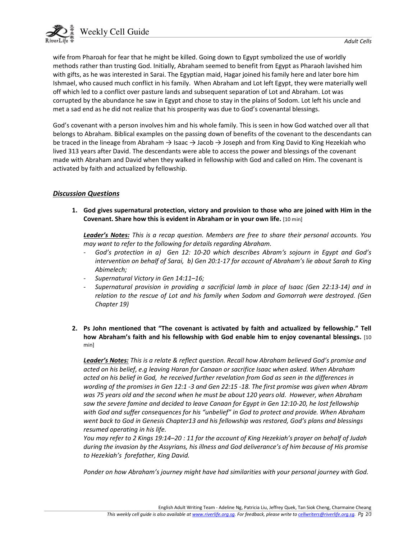

wife from Pharoah for fear that he might be killed. Going down to Egypt symbolized the use of worldly methods rather than trusting God. Initially, Abraham seemed to benefit from Egypt as Pharaoh lavished him with gifts, as he was interested in Sarai. The Egyptian maid, Hagar joined his family here and later bore him Ishmael, who caused much conflict in his family. When Abraham and Lot left Egypt, they were materially well off which led to a conflict over pasture lands and subsequent separation of Lot and Abraham. Lot was corrupted by the abundance he saw in Egypt and chose to stay in the plains of Sodom. Lot left his uncle and met a sad end as he did not realize that his prosperity was due to God's covenantal blessings.

God's covenant with a person involves him and his whole family. This is seen in how God watched over all that belongs to Abraham. Biblical examples on the passing down of benefits of the covenant to the descendants can be traced in the lineage from Abraham → Isaac → Jacob → Joseph and from King David to King Hezekiah who lived 313 years after David. The descendants were able to access the power and blessings of the covenant made with Abraham and David when they walked in fellowship with God and called on Him. The covenant is activated by faith and actualized by fellowship.

# Discussion Questions

 1. God gives supernatural protection, victory and provision to those who are joined with Him in the Covenant. Share how this is evident in Abraham or in your own life. [10 min]

Leader's Notes: This is a recap question. Members are free to share their personal accounts. You may want to refer to the following for details regarding Abraham.

- God's protection in a) Gen 12: 10-20 which describes Abram's sojourn in Egypt and God's intervention on behalf of Sarai, b) Gen 20:1-17 for account of Abraham's lie about Sarah to King Abimelech;
- Supernatural Victory in Gen 14:11–16;
- Supernatural provision in providing a sacrificial lamb in place of Isaac (Gen 22:13-14) and in relation to the rescue of Lot and his family when Sodom and Gomorrah were destroyed. (Gen Chapter 19)
- 2. Ps John mentioned that "The covenant is activated by faith and actualized by fellowship." Tell how Abraham's faith and his fellowship with God enable him to enjoy covenantal blessings. [10 min]

Leader's Notes: This is a relate & reflect question. Recall how Abraham believed God's promise and acted on his belief, e.g leaving Haran for Canaan or sacrifice Isaac when asked. When Abraham acted on his belief in God, he received further revelation from God as seen in the differences in wording of the promises in Gen 12:1 -3 and Gen 22:15 -18. The first promise was given when Abram was 75 years old and the second when he must be about 120 years old. However, when Abraham saw the severe famine and decided to leave Canaan for Egypt in Gen 12:10-20, he lost fellowship with God and suffer consequences for his "unbelief" in God to protect and provide. When Abraham went back to God in Genesis Chapter13 and his fellowship was restored, God's plans and blessings resumed operating in his life.

You may refer to 2 Kings 19:14-20 : 11 for the account of King Hezekiah's prayer on behalf of Judah during the invasion by the Assyrians, his illness and God deliverance's of him because of His promise to Hezekiah's forefather, King David.

Ponder on how Abraham's journey might have had similarities with your personal journey with God.